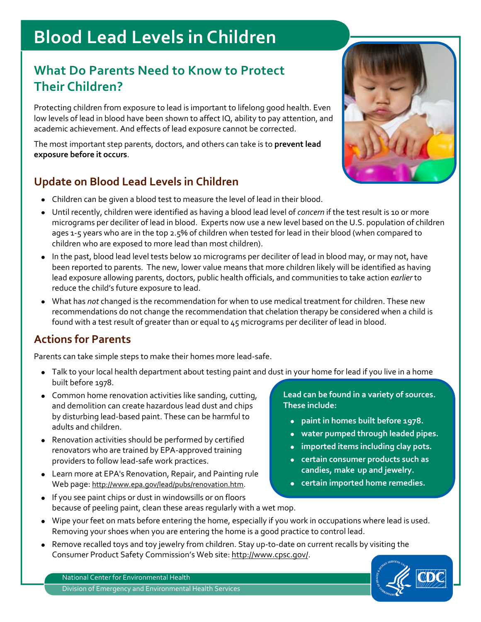# **Blood Lead Levels in Children**

### **What Do Parents Need to Know to Protect Their Children?**

Protecting children from exposure to lead is important to lifelong good health. Even low levels of lead in blood have been shown to affect IQ, ability to pay attention, and academic achievement. And effects of lead exposure cannot be corrected.

The most important step parents, doctors, and others can take is to **prevent lead exposure before it occurs**.

#### **Update on Blood Lead Levels in Children**

- Children can be given a blood test to measure the level of lead in their blood.
- Until recently, children were identified as having a blood lead level of *concern* if the test result is 10 or more micrograms per deciliter of lead in blood. Experts now use a new level based on the U.S. population of children ages 1-5 years who are in the top 2.5% of children when tested for lead in their blood (when compared to children who are exposed to more lead than most children).
- In the past, blood lead level tests below 10 micrograms per deciliter of lead in blood may, or may not, have been reported to parents. The new, lower value means that more children likely will be identified as having lead exposure allowing parents, doctors, public health officials, and communities to take action *earlier* to reduce the child's future exposure to lead.
- What has *not* changed is the recommendation for when to use medical treatment for children. These new recommendations do not change the recommendation that chelation therapy be considered when a child is found with a test result of greater than or equal to 45 micrograms per deciliter of lead in blood.

#### **Actions for Parents**

Parents can take simple steps to make their homes more lead-safe.

- Talk to your local health department about testing paint and dust in your home for lead if you live in a home built before 1978.
- Common home renovation activities like sanding, cutting, and demolition can create hazardous lead dust and chips by disturbing lead-based paint. These can be harmful to adults and children.
- Renovation activities should be performed by certified renovators who are trained by EPA-approved training providers to follow lead-safe work practices.
- Learn more at EPA's Renovation, Repair, and Painting rule Web page[: http://www.epa.gov/lead/pubs/renovation.htm.](http://www.epa.gov/lead/pubs/renovation.htm)

**Lead can be found in a variety of sources. These include:**

- **paint in homes built before 1978.**
- **water pumped through leaded pipes.**
- **imported items including clay pots.**
- **certain consumer products such as**  candies, make up and jewelry.
- **certain imported home remedies.**
- If you see paint chips or dust in windowsills or on floors because of peeling paint, clean these areas regularly with a wet mop.
- Wipe your feet on mats before entering the home, especially if you work in occupations where lead is used. Removing your shoes when you are entering the home is a good practice to control lead.
- Remove recalled toys and toy jewelry from children. Stay up-to-date on current recalls by visiting the Consumer Product Safety Commission's Web site: [http://www.cpsc.gov/.](http://www.cpsc.gov/)



National Center for Environmental Health Division of Emergency and Environmental Health Services